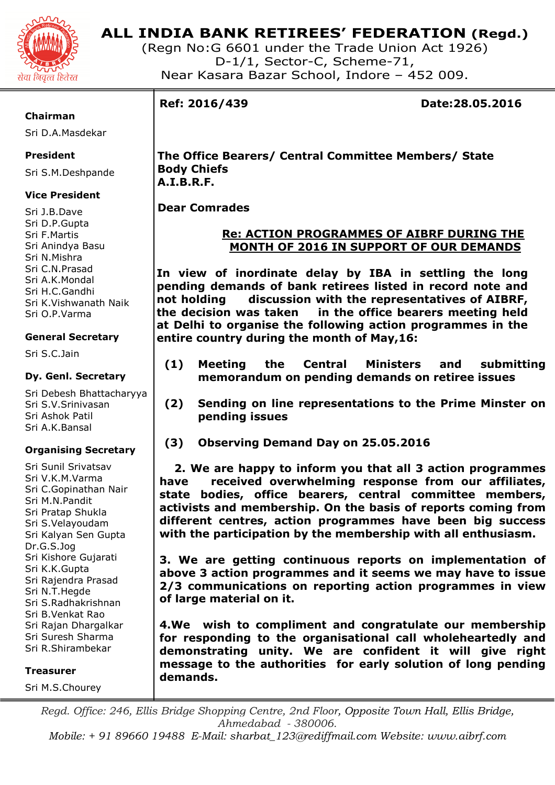

# **ALL INDIA BANK RETIREES' FEDERATION (Regd.)**

(Regn No:G 6601 under the Trade Union Act 1926) D-1/1, Sector-C, Scheme-71, Near Kasara Bazar School, Indore – 452 009.

#### **Chairman**

Sri D.A.Masdekar

## **President**

Sri S.M.Deshpande

## **Vice President**

Sri J.B.Dave Sri D.P.Gupta Sri F.Martis Sri Anindya Basu Sri N.Mishra Sri C.N.Prasad Sri A.K.Mondal Sri H.C.Gandhi Sri K.Vishwanath Naik Sri O.P.Varma

## **General Secretary**

Sri S.C.Jain

## **Dy. Genl. Secretary**

Sri Debesh Bhattacharyya Sri S.V.Srinivasan Sri Ashok Patil Sri A.K.Bansal

## **Organising Secretary**

Sri Sunil Srivatsav Sri V.K.M.Varma Sri C.Gopinathan Nair Sri M.N.Pandit Sri Pratap Shukla Sri S.Velayoudam Sri Kalyan Sen Gupta Dr.G.S.Jog Sri Kishore Gujarati Sri K.K.Gupta Sri Rajendra Prasad Sri N.T.Hegde Sri S.Radhakrishnan Sri B.Venkat Rao Sri Rajan Dhargalkar Sri Suresh Sharma Sri R.Shirambekar

**Treasurer** 

Sri M.S.Chourey

**Ref: 2016/439 Date:28.05.2016** 

# **The Office Bearers/ Central Committee Members/ State Body Chiefs A.I.B.R.F.**

# **Dear Comrades**

# **Re: ACTION PROGRAMMES OF AIBRF DURING THE MONTH OF 2016 IN SUPPORT OF OUR DEMANDS**

**In view of inordinate delay by IBA in settling the long pending demands of bank retirees listed in record note and not holding discussion with the representatives of AIBRF, the decision was taken in the office bearers meeting held at Delhi to organise the following action programmes in the entire country during the month of May,16:** 

- **(1) Meeting the Central Ministers and submitting memorandum on pending demands on retiree issues**
- **(2) Sending on line representations to the Prime Minster on pending issues**
- **(3) Observing Demand Day on 25.05.2016**

 **2. We are happy to inform you that all 3 action programmes have received overwhelming response from our affiliates, state bodies, office bearers, central committee members, activists and membership. On the basis of reports coming from different centres, action programmes have been big success with the participation by the membership with all enthusiasm.** 

**3. We are getting continuous reports on implementation of above 3 action programmes and it seems we may have to issue 2/3 communications on reporting action programmes in view of large material on it.** 

**4.We wish to compliment and congratulate our membership for responding to the organisational call wholeheartedly and demonstrating unity. We are confident it will give right message to the authorities for early solution of long pending demands.** 

*Regd. Office: 246, Ellis Bridge Shopping Centre, 2nd Floor, Opposite Town Hall, Ellis Bridge, Ahmedabad - 380006.* 

*Mobile: + 91 89660 19488 E-Mail: sharbat\_123@rediffmail.com Website: www.aibrf.com*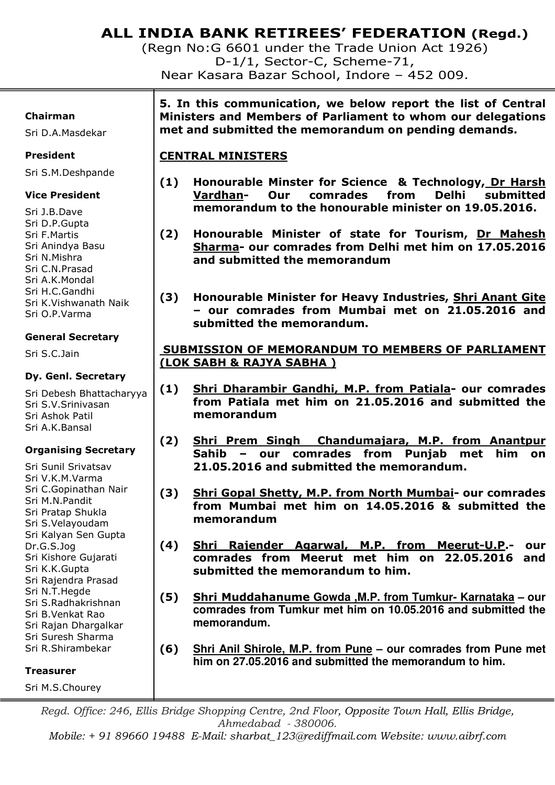# **ALL INDIA BANK RETIREES' FEDERATION (Regd.)**

(Regn No:G 6601 under the Trade Union Act 1926) D-1/1, Sector-C, Scheme-71, Near Kasara Bazar School, Indore – 452 009.

#### **Chairman**

Sri D.A.Masdekar

### **President**

Sri S.M.Deshpande

## **Vice President**

Sri J.B.Dave Sri D.P.Gupta Sri F.Martis Sri Anindya Basu Sri N.Mishra Sri C.N.Prasad Sri A.K.Mondal Sri H.C.Gandhi Sri K.Vishwanath Naik Sri O.P.Varma

## **General Secretary**

Sri S.C.Jain

#### **Dy. Genl. Secretary**

Sri Debesh Bhattacharyya Sri S.V.Srinivasan Sri Ashok Patil Sri A.K.Bansal

## **Organising Secretary**

Sri Sunil Srivatsav Sri V.K.M.Varma Sri C.Gopinathan Nair Sri M.N.Pandit Sri Pratap Shukla Sri S.Velayoudam Sri Kalyan Sen Gupta Dr.G.S.Jog Sri Kishore Gujarati Sri K.K.Gupta Sri Rajendra Prasad Sri N.T.Hegde Sri S.Radhakrishnan Sri B.Venkat Rao Sri Rajan Dhargalkar Sri Suresh Sharma Sri R.Shirambekar

#### **Treasurer**

Sri M.S.Chourey

**5. In this communication, we below report the list of Central Ministers and Members of Parliament to whom our delegations met and submitted the memorandum on pending demands.** 

# **CENTRAL MINISTERS**

- **(1) Honourable Minster for Science & Technology, Dr Harsh Vardhan- Our comrades from Delhi submitted memorandum to the honourable minister on 19.05.2016.**
- **(2) Honourable Minister of state for Tourism, Dr Mahesh Sharma- our comrades from Delhi met him on 17.05.2016 and submitted the memorandum**
- **(3) Honourable Minister for Heavy Industries, Shri Anant Gite – our comrades from Mumbai met on 21.05.2016 and submitted the memorandum.**

# **SUBMISSION OF MEMORANDUM TO MEMBERS OF PARLIAMENT (LOK SABH & RAJYA SABHA )**

- **(1) Shri Dharambir Gandhi, M.P. from Patiala- our comrades from Patiala met him on 21.05.2016 and submitted the memorandum**
- **(2) Shri Prem Singh Chandumajara, M.P. from Anantpur Sahib – our comrades from Punjab met him on 21.05.2016 and submitted the memorandum.**
- **(3) Shri Gopal Shetty, M.P. from North Mumbai- our comrades from Mumbai met him on 14.05.2016 & submitted the memorandum**
- **(4) Shri Rajender Agarwal, M.P. from Meerut-U.P.- our comrades from Meerut met him on 22.05.2016 and submitted the memorandum to him.**
- **(5) Shri Muddahanume Gowda ,M.P. from Tumkur- Karnataka our comrades from Tumkur met him on 10.05.2016 and submitted the memorandum.**
- **(6) Shri Anil Shirole, M.P. from Pune our comrades from Pune met him on 27.05.2016 and submitted the memorandum to him.**

*Regd. Office: 246, Ellis Bridge Shopping Centre, 2nd Floor, Opposite Town Hall, Ellis Bridge, Ahmedabad - 380006.* 

*Mobile: + 91 89660 19488 E-Mail: sharbat\_123@rediffmail.com Website: www.aibrf.com*